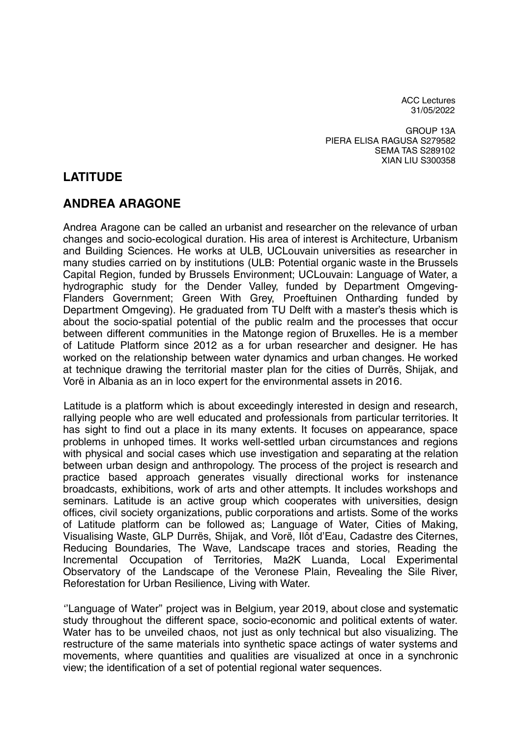ACC Lectures 31/05/2022

GROUP 13A PIERA ELISA RAGUSA S279582 SEMA TAS S289102 XIAN LIU S300358

## **LATITUDE**

## **ANDREA ARAGONE**

Andrea Aragone can be called an urbanist and researcher on the relevance of urban changes and socio-ecological duration. His area of interest is Architecture, Urbanism and Building Sciences. He works at ULB, UCLouvain universities as researcher in many studies carried on by institutions (ULB: Potential organic waste in the Brussels Capital Region, funded by Brussels Environment; UCLouvain: Language of Water, a hydrographic study for the Dender Valley, funded by Department Omgeving-Flanders Government; Green With Grey, Proeftuinen Ontharding funded by Department Omgeving). He graduated from TU Delft with a master's thesis which is about the socio-spatial potential of the public realm and the processes that occur between different communities in the Matonge region of Bruxelles. He is a member of Latitude Platform since 2012 as a for urban researcher and designer. He has worked on the relationship between water dynamics and urban changes. He worked at technique drawing the territorial master plan for the cities of Durrës, Shijak, and Vorë in Albania as an in loco expert for the environmental assets in 2016.

Latitude is a platform which is about exceedingly interested in design and research, rallying people who are well educated and professionals from particular territories. It has sight to find out a place in its many extents. It focuses on appearance, space problems in unhoped times. It works well-settled urban circumstances and regions with physical and social cases which use investigation and separating at the relation between urban design and anthropology. The process of the project is research and practice based approach generates visually directional works for instenance broadcasts, exhibitions, work of arts and other attempts. It includes workshops and seminars. Latitude is an active group which cooperates with universities, design offices, civil society organizations, public corporations and artists. Some of the works of Latitude platform can be followed as; Language of Water, Cities of Making, Visualising Waste, GLP Durrës, Shijak, and Vorë, Ilôt d'Eau, Cadastre des Citernes, Reducing Boundaries, The Wave, Landscape traces and stories, Reading the Incremental Occupation of Territories, Ma2K Luanda, Local Experimental Observatory of the Landscape of the Veronese Plain, Revealing the Sile River, Reforestation for Urban Resilience, Living with Water.

''Language of Water'' project was in Belgium, year 2019, about close and systematic study throughout the different space, socio-economic and political extents of water. Water has to be unveiled chaos, not just as only technical but also visualizing. The restructure of the same materials into synthetic space actings of water systems and movements, where quantities and qualities are visualized at once in a synchronic view; the identification of a set of potential regional water sequences.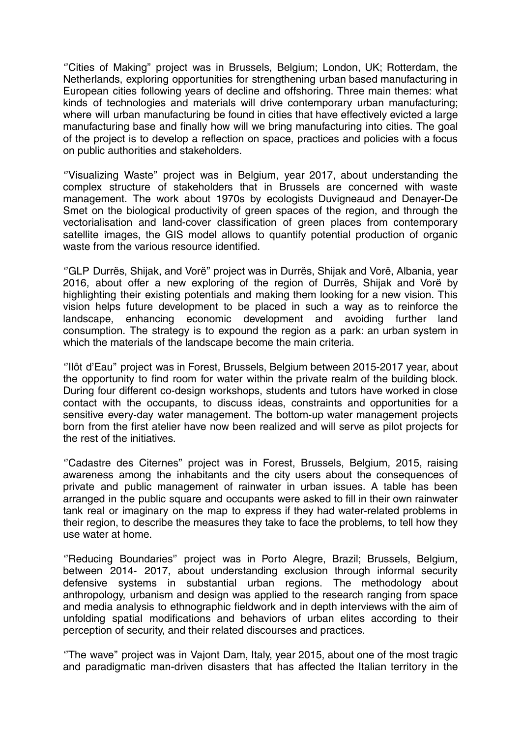''Cities of Making'' project was in Brussels, Belgium; London, UK; Rotterdam, the Netherlands, exploring opportunities for strengthening urban based manufacturing in European cities following years of decline and offshoring. Three main themes: what kinds of technologies and materials will drive contemporary urban manufacturing; where will urban manufacturing be found in cities that have effectively evicted a large manufacturing base and finally how will we bring manufacturing into cities. The goal of the project is to develop a reflection on space, practices and policies with a focus on public authorities and stakeholders.

''Visualizing Waste'' project was in Belgium, year 2017, about understanding the complex structure of stakeholders that in Brussels are concerned with waste management. The work about 1970s by ecologists Duvigneaud and Denayer-De Smet on the biological productivity of green spaces of the region, and through the vectorialisation and land-cover classification of green places from contemporary satellite images, the GIS model allows to quantify potential production of organic waste from the various resource identified.

''GLP Durrës, Shijak, and Vorë'' project was in Durrës, Shijak and Vorë, Albania, year 2016, about offer a new exploring of the region of Durrës, Shijak and Vorë by highlighting their existing potentials and making them looking for a new vision. This vision helps future development to be placed in such a way as to reinforce the landscape, enhancing economic development and avoiding further land consumption. The strategy is to expound the region as a park: an urban system in which the materials of the landscape become the main criteria.

''Ilôt d'Eau'' project was in Forest, Brussels, Belgium between 2015-2017 year, about the opportunity to find room for water within the private realm of the building block. During four different co-design workshops, students and tutors have worked in close contact with the occupants, to discuss ideas, constraints and opportunities for a sensitive every-day water management. The bottom-up water management projects born from the first atelier have now been realized and will serve as pilot projects for the rest of the initiatives.

''Cadastre des Citernes'' project was in Forest, Brussels, Belgium, 2015, raising awareness among the inhabitants and the city users about the consequences of private and public management of rainwater in urban issues. A table has been arranged in the public square and occupants were asked to fill in their own rainwater tank real or imaginary on the map to express if they had water-related problems in their region, to describe the measures they take to face the problems, to tell how they use water at home.

''Reducing Boundaries'' project was in Porto Alegre, Brazil; Brussels, Belgium, between 2014- 2017, about understanding exclusion through informal security defensive systems in substantial urban regions. The methodology about anthropology, urbanism and design was applied to the research ranging from space and media analysis to ethnographic fieldwork and in depth interviews with the aim of unfolding spatial modifications and behaviors of urban elites according to their perception of security, and their related discourses and practices.

''The wave'' project was in Vajont Dam, Italy, year 2015, about one of the most tragic and paradigmatic man-driven disasters that has affected the Italian territory in the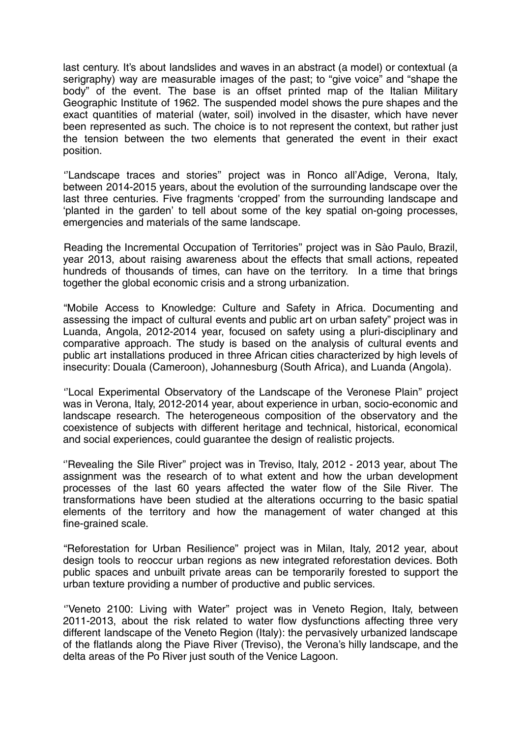last century. It's about landslides and waves in an abstract (a model) or contextual (a serigraphy) way are measurable images of the past; to "give voice" and "shape the body" of the event. The base is an offset printed map of the Italian Military Geographic Institute of 1962. The suspended model shows the pure shapes and the exact quantities of material (water, soil) involved in the disaster, which have never been represented as such. The choice is to not represent the context, but rather just the tension between the two elements that generated the event in their exact position.

''Landscape traces and stories'' project was in Ronco all'Adige, Verona, Italy, between 2014-2015 years, about the evolution of the surrounding landscape over the last three centuries. Five fragments 'cropped' from the surrounding landscape and 'planted in the garden' to tell about some of the key spatial on-going processes, emergencies and materials of the same landscape.

Reading the Incremental Occupation of Territories'' project was in Sào Paulo, Brazil, year 2013, about raising awareness about the effects that small actions, repeated hundreds of thousands of times, can have on the territory. In a time that brings together the global economic crisis and a strong urbanization.

"Mobile Access to Knowledge: Culture and Safety in Africa. Documenting and assessing the impact of cultural events and public art on urban safety" project was in Luanda, Angola, 2012-2014 year, focused on safety using a pluri-disciplinary and comparative approach. The study is based on the analysis of cultural events and public art installations produced in three African cities characterized by high levels of insecurity: Douala (Cameroon), Johannesburg (South Africa), and Luanda (Angola).

''Local Experimental Observatory of the Landscape of the Veronese Plain'' project was in Verona, Italy, 2012-2014 year, about experience in urban, socio-economic and landscape research. The heterogeneous composition of the observatory and the coexistence of subjects with different heritage and technical, historical, economical and social experiences, could guarantee the design of realistic projects.

''Revealing the Sile River'' project was in Treviso, Italy, 2012 - 2013 year, about The assignment was the research of to what extent and how the urban development processes of the last 60 years affected the water flow of the Sile River. The transformations have been studied at the alterations occurring to the basic spatial elements of the territory and how the management of water changed at this fine-grained scale.

"Reforestation for Urban Resilience" project was in Milan, Italy, 2012 year, about design tools to reoccur urban regions as new integrated reforestation devices. Both public spaces and unbuilt private areas can be temporarily forested to support the urban texture providing a number of productive and public services.

''Veneto 2100: Living with Water'' project was in Veneto Region, Italy, between 2011-2013, about the risk related to water flow dysfunctions affecting three very different landscape of the Veneto Region (Italy): the pervasively urbanized landscape of the flatlands along the Piave River (Treviso), the Verona's hilly landscape, and the delta areas of the Po River just south of the Venice Lagoon.